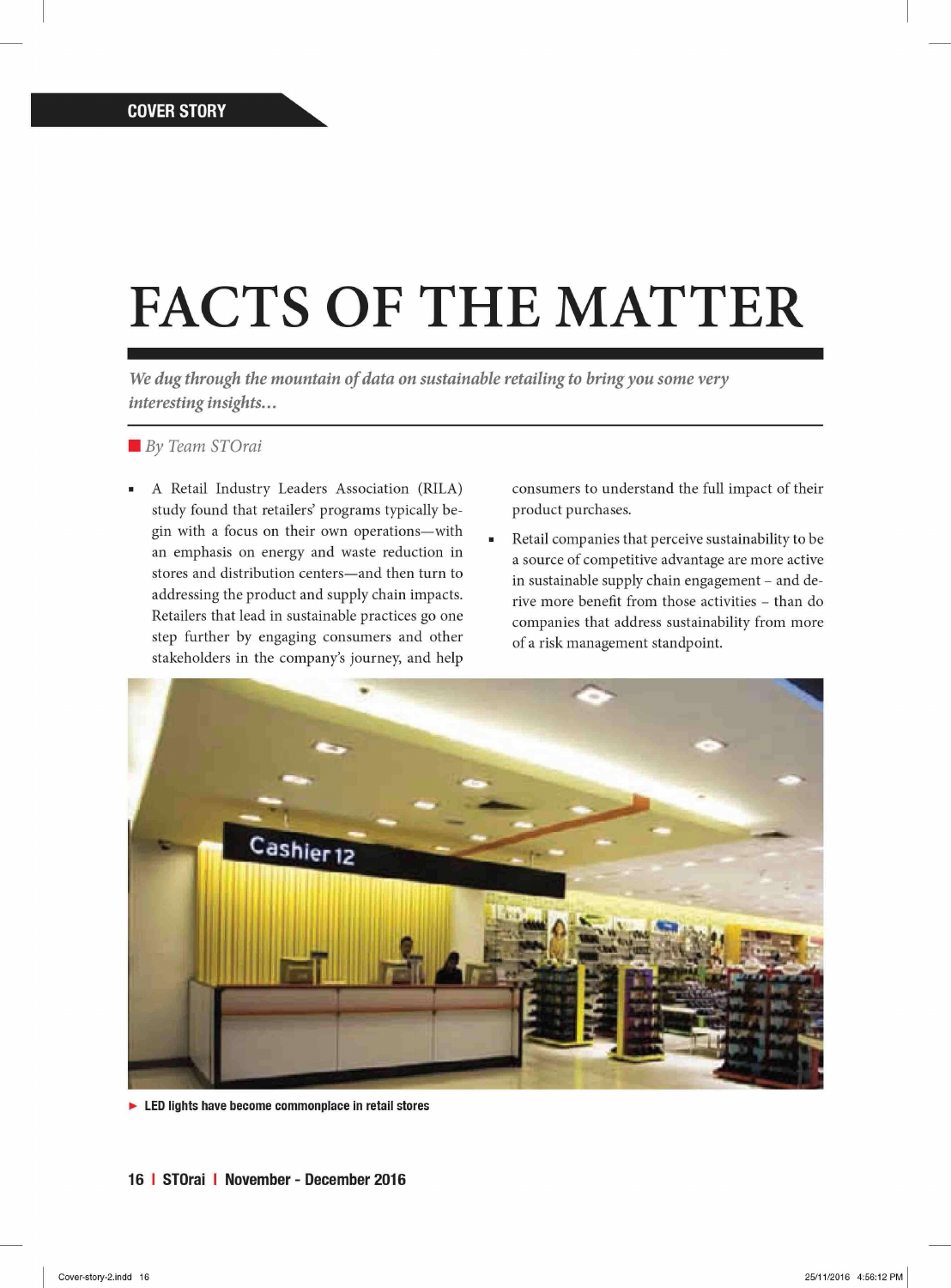## **FACTS OF THE MATTER**

*We dug through the mountain of data on sustainable retailing to bring you some very interesting insights...* 

*By Team STOrai* 

A Retail Industry Leaders Association (RILA) study found that retailers' programs typically begin with a focus on their own operations—with an emphasis on energy and waste reduction in stores and distribution centers—and then turn to addressing the product and supply chain impacts. Retailers that lead in sustainable practices go one step further by engaging consumers and other stakeholders in the company's journey, and help consumers to understand the full impact of their product purchases.

Retail companies that perceive sustainability to be  $\blacksquare$ a source of competitive advantage are more active in sustainable supply chain engagement - and derive more benefit from those activities - than do companies that address sustainability from more of a risk management standpoint.



• LED lights have become commonplace in retail stores

**16 I STOrai I November - December 2016**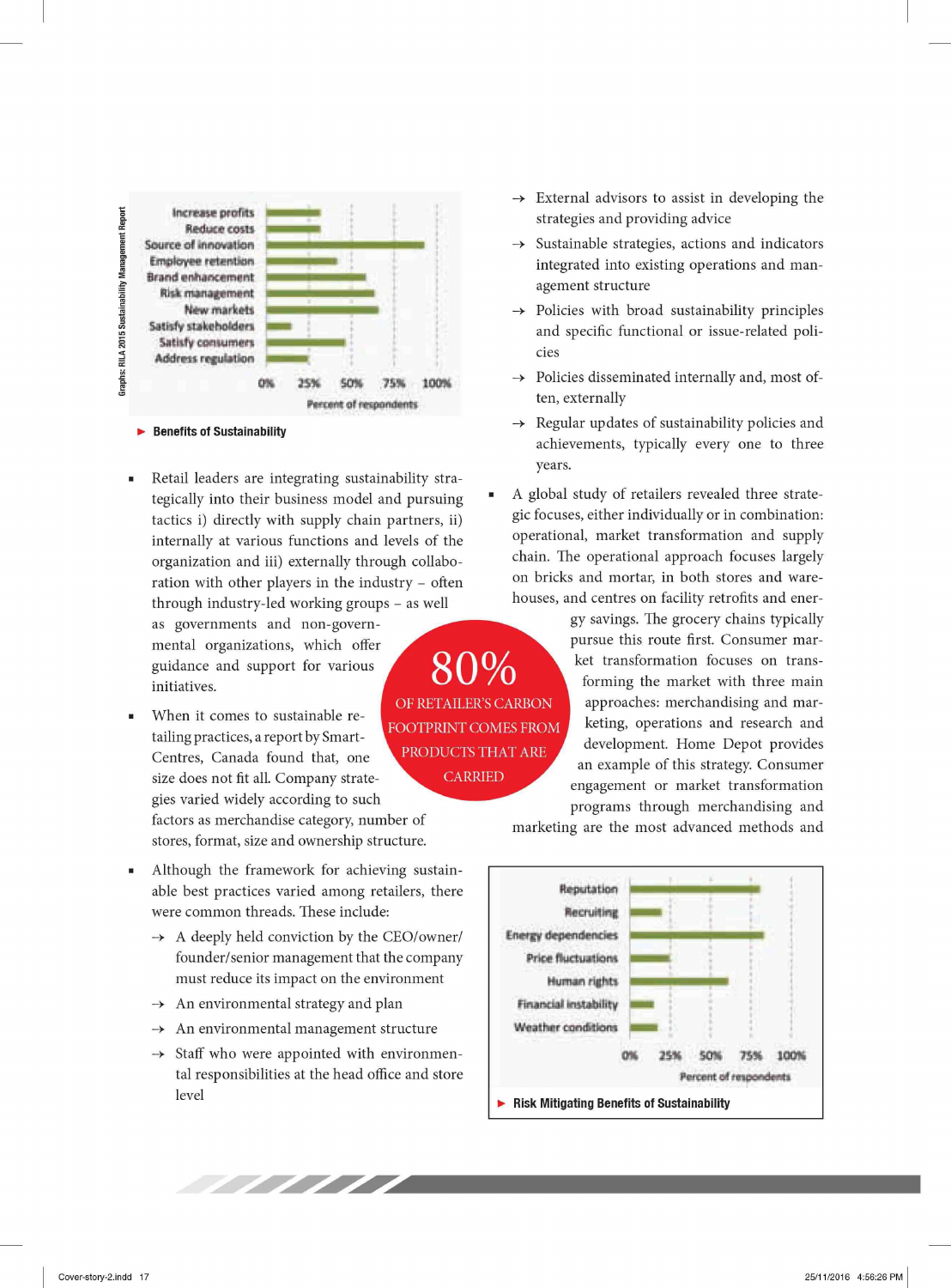

## **Benefits of Sustainability**

Retail leaders are integrating sustainability strategically into their business model and pursuing tactics i) directly with supply chain partners, ii) internally at various functions and levels of the organization and iii) externally through collaboration with other players in the industry - often through industry-led working groups - as well

as governments and non-governmental organizations, which offer guidance and support for various initiatives.

- When it comes to sustainable retailing practices, a report by Smart-Centres, Canada found that, one size does not fit all. Company strategies varied widely according to such factors as merchandise category, number of stores, format, size and ownership structure.
- Although the framework for achieving sustainable best practices varied among retailers, there were common threads. These include:
	- $\rightarrow$  A deeply held conviction by the CEO/owner/ founder/senior management that the company must reduce its impact on the environment
	- $\rightarrow$  An environmental strategy and plan
	- $\rightarrow$  An environmental management structure
	- $\rightarrow$  Staff who were appointed with environmental responsibilities at the head office and store level

//////

- $\rightarrow$  External advisors to assist in developing the strategies and providing advice
- Sustainable strategies, actions and indicators  $\rightarrow$ integrated into existing operations and management structure
- Policies with broad sustainability principles and specific functional or issue-related policies
- Policies disseminated internally and, most often, externally
- $\rightarrow$  Regular updates of sustainability policies and achievements, typically every one to three years.
- A global study of retailers revealed three strategic focuses, either individually or in combination: operational, market transformation and supply chain. The operational approach focuses largely on bricks and mortar, in both stores and warehouses, and centres on facility retrofits and ener-

gy savings. The grocery chains typically pursue this route first. Consumer market transformation focuses on transforming the market with three main approaches: merchandising and marketing, operations and research and development. Home Depot provides an example of this strategy. Consumer engagement or market transformation programs through merchandising and

marketing are the most advanced methods and



80% OF RETAILER'S CARBON FOOTPRINT COMES FROM PRODUCTS THAT ARE **CARRIED**